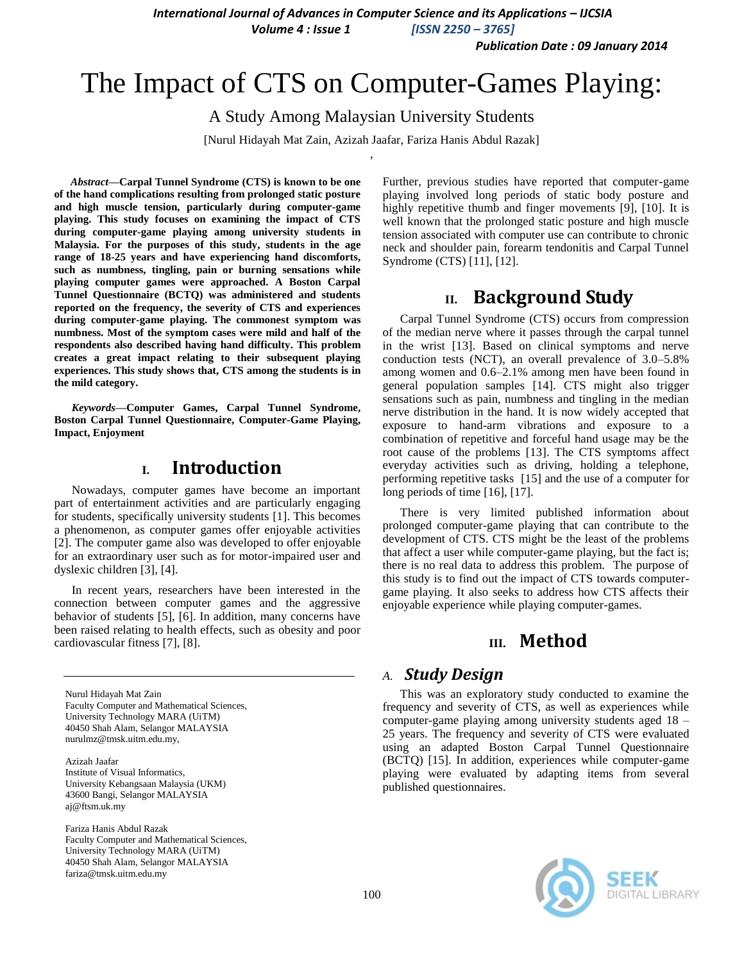*International Journal of Advances in Computer Science and its Applications – IJCSIA* 

*Volume 4 : Issue 1 [ISSN 2250 – 3765]*

*Publication Date : 09 January 2014*

# The Impact of CTS on Computer-Games Playing:

A Study Among Malaysian University Students

[Nurul Hidayah Mat Zain, Azizah Jaafar, Fariza Hanis Abdul Razak] ,

*Abstract***—Carpal Tunnel Syndrome (CTS) is known to be one of the hand complications resulting from prolonged static posture and high muscle tension, particularly during computer-game playing. This study focuses on examining the impact of CTS during computer-game playing among university students in Malaysia. For the purposes of this study, students in the age range of 18-25 years and have experiencing hand discomforts, such as numbness, tingling, pain or burning sensations while playing computer games were approached. A Boston Carpal Tunnel Questionnaire (BCTQ) was administered and students reported on the frequency, the severity of CTS and experiences during computer-game playing. The commonest symptom was numbness. Most of the symptom cases were mild and half of the respondents also described having hand difficulty. This problem creates a great impact relating to their subsequent playing experiences. This study shows that, CTS among the students is in the mild category.**

*Keywords—***Computer Games, Carpal Tunnel Syndrome, Boston Carpal Tunnel Questionnaire, Computer-Game Playing, Impact, Enjoyment**

# **I. Introduction**

Nowadays, computer games have become an important part of entertainment activities and are particularly engaging for students, specifically university students [1]. This becomes a phenomenon, as computer games offer enjoyable activities [2]. The computer game also was developed to offer enjoyable for an extraordinary user such as for motor-impaired user and dyslexic children [3], [4].

In recent years, researchers have been interested in the connection between computer games and the aggressive behavior of students [5], [6]. In addition, many concerns have been raised relating to health effects, such as obesity and poor cardiovascular fitness [7], [8].

Nurul Hidayah Mat Zain Faculty Computer and Mathematical Sciences, University Technology MARA (UiTM) 40450 Shah Alam, Selangor MALAYSIA nurulmz@tmsk.uitm.edu.my,

Azizah Jaafar Institute of Visual Informatics, University Kebangsaan Malaysia (UKM) 43600 Bangi, Selangor MALAYSIA aj@ftsm.uk.my

Fariza Hanis Abdul Razak Faculty Computer and Mathematical Sciences, University Technology MARA (UiTM) 40450 Shah Alam, Selangor MALAYSIA fariza@tmsk.uitm.edu.my

Further, previous studies have reported that computer-game playing involved long periods of static body posture and highly repetitive thumb and finger movements [9], [10]. It is well known that the prolonged static posture and high muscle tension associated with computer use can contribute to chronic neck and shoulder pain, forearm tendonitis and Carpal Tunnel Syndrome (CTS) [11], [12].

# **II. Background Study**

Carpal Tunnel Syndrome (CTS) occurs from compression of the median nerve where it passes through the carpal tunnel in the wrist [13]. Based on clinical symptoms and nerve conduction tests (NCT), an overall prevalence of 3.0–5.8% among women and 0.6–2.1% among men have been found in general population samples [14]. CTS might also trigger sensations such as pain, numbness and tingling in the median nerve distribution in the hand. It is now widely accepted that exposure to hand-arm vibrations and exposure to a combination of repetitive and forceful hand usage may be the root cause of the problems [13]. The CTS symptoms affect everyday activities such as driving, holding a telephone, performing repetitive tasks [15] and the use of a computer for long periods of time [16], [17].

There is very limited published information about prolonged computer-game playing that can contribute to the development of CTS. CTS might be the least of the problems that affect a user while computer-game playing, but the fact is; there is no real data to address this problem. The purpose of this study is to find out the impact of CTS towards computergame playing. It also seeks to address how CTS affects their enjoyable experience while playing computer-games.

# **III. Method**

### *A. Study Design*

This was an exploratory study conducted to examine the frequency and severity of CTS, as well as experiences while computer-game playing among university students aged 18 – 25 years. The frequency and severity of CTS were evaluated using an adapted Boston Carpal Tunnel Questionnaire (BCTQ) [15]. In addition, experiences while computer-game playing were evaluated by adapting items from several published questionnaires.

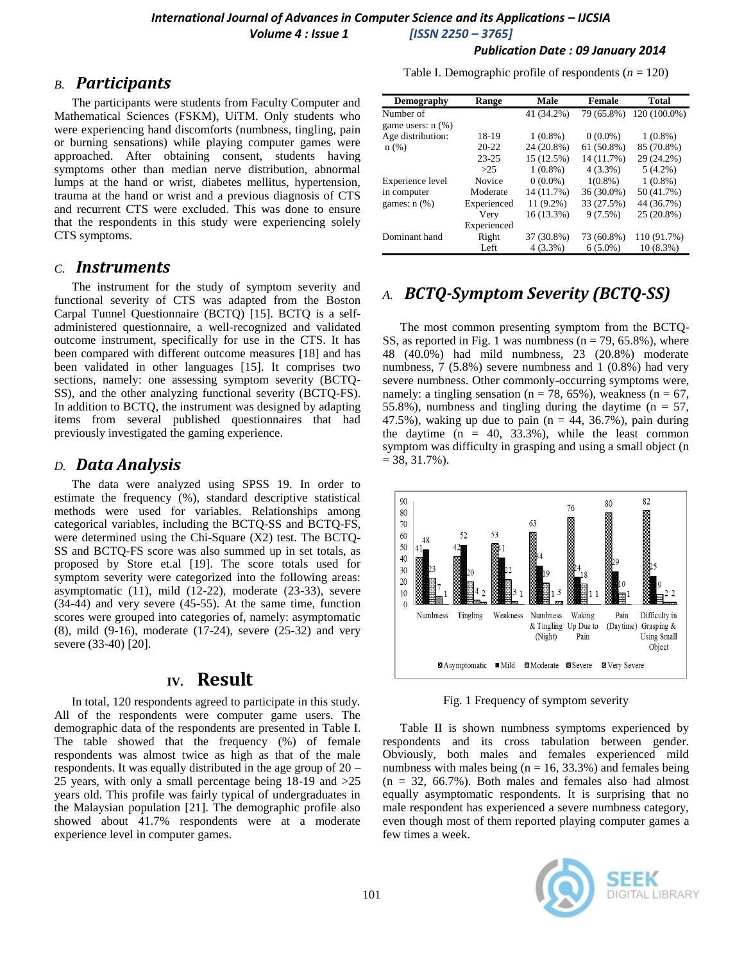### *B. Participants*

The participants were students from Faculty Computer and Mathematical Sciences (FSKM), UiTM. Only students who were experiencing hand discomforts (numbness, tingling, pain or burning sensations) while playing computer games were approached. After obtaining consent, students having symptoms other than median nerve distribution, abnormal lumps at the hand or wrist, diabetes mellitus, hypertension, trauma at the hand or wrist and a previous diagnosis of CTS and recurrent CTS were excluded. This was done to ensure that the respondents in this study were experiencing solely CTS symptoms.

### *C. Instruments*

The instrument for the study of symptom severity and functional severity of CTS was adapted from the Boston Carpal Tunnel Questionnaire (BCTQ) [15]. BCTQ is a selfadministered questionnaire, a well-recognized and validated outcome instrument, specifically for use in the CTS. It has been compared with different outcome measures [18] and has been validated in other languages [15]. It comprises two sections, namely: one assessing symptom severity (BCTQ-SS), and the other analyzing functional severity (BCTQ-FS). In addition to BCTQ, the instrument was designed by adapting items from several published questionnaires that had previously investigated the gaming experience.

#### *D. Data Analysis*

The data were analyzed using SPSS 19. In order to estimate the frequency (%), standard descriptive statistical methods were used for variables. Relationships among categorical variables, including the BCTQ-SS and BCTQ-FS, were determined using the Chi-Square (X2) test. The BCTQ-SS and BCTQ-FS score was also summed up in set totals, as proposed by Store et.al [19]. The score totals used for symptom severity were categorized into the following areas: asymptomatic (11), mild (12-22), moderate (23-33), severe (34-44) and very severe (45-55). At the same time, function scores were grouped into categories of, namely: asymptomatic (8), mild (9-16), moderate (17-24), severe (25-32) and very severe (33-40) [20].

## **IV. Result**

In total, 120 respondents agreed to participate in this study. All of the respondents were computer game users. The demographic data of the respondents are presented in Table I. The table showed that the frequency (%) of female respondents was almost twice as high as that of the male respondents. It was equally distributed in the age group of 20 – 25 years, with only a small percentage being 18-19 and >25 years old. This profile was fairly typical of undergraduates in the Malaysian population [21]. The demographic profile also showed about 41.7% respondents were at a moderate experience level in computer games.

#### *Publication Date : 09 January 2014*

Table I. Demographic profile of respondents  $(n = 120)$ 

| <b>Demography</b>      | <b>Range</b> | Male        | <b>Female</b> | <b>Total</b> |
|------------------------|--------------|-------------|---------------|--------------|
| Number of              |              | 41 (34.2%)  | 79 (65.8%)    | 120 (100.0%) |
| game users: $n$ $(\%)$ |              |             |               |              |
| Age distribution:      | 18-19        | $1(0.8\%)$  | $0(0.0\%)$    | $1(0.8\%)$   |
| n(%)                   | $20 - 22$    | 24 (20.8%)  | $61(50.8\%)$  | 85 (70.8%)   |
|                        | $23 - 25$    | 15 (12.5%)  | 14 (11.7%)    | 29 (24.2%)   |
|                        | >25          | $1(0.8\%)$  | $4(3.3\%)$    | $5(4.2\%)$   |
| Experience level       | Novice       | $0(0.0\%)$  | $1(0.8\%)$    | $1(0.8\%)$   |
| in computer            | Moderate     | 14 (11.7%)  | 36 (30.0%)    | 50 (41.7%)   |
| games: $n$ $(\%)$      | Experienced  | $11(9.2\%)$ | 33 (27.5%)    | 44 (36.7%)   |
|                        | Very         | 16 (13.3%)  | 9(7.5%)       | 25 (20.8%)   |
|                        | Experienced  |             |               |              |
| Dominant hand          | Right        | 37 (30.8%)  | 73 (60.8%)    | 110 (91.7%)  |
|                        | Left         | $4(3.3\%)$  | $6(5.0\%)$    | 10 (8.3%)    |

# *A. BCTQ-Symptom Severity (BCTQ-SS)*

The most common presenting symptom from the BCTQ-SS, as reported in Fig. 1 was numbness ( $n = 79, 65.8\%$ ), where 48 (40.0%) had mild numbness, 23 (20.8%) moderate numbness, 7 (5.8%) severe numbness and 1 (0.8%) had very severe numbness. Other commonly-occurring symptoms were, namely: a tingling sensation ( $n = 78$ , 65%), weakness ( $n = 67$ , 55.8%), numbness and tingling during the daytime ( $n = 57$ , 47.5%), waking up due to pain  $(n = 44, 36.7)$ , pain during the daytime  $(n = 40, 33.3\%)$ , while the least common symptom was difficulty in grasping and using a small object (n  $= 38, 31.7\%$ ).



Fig. 1 Frequency of symptom severity

Table II is shown numbness symptoms experienced by respondents and its cross tabulation between gender. Obviously, both males and females experienced mild numbness with males being  $(n = 16, 33.3\%)$  and females being  $(n = 32, 66.7\%)$ . Both males and females also had almost equally asymptomatic respondents. It is surprising that no male respondent has experienced a severe numbness category, even though most of them reported playing computer games a few times a week.

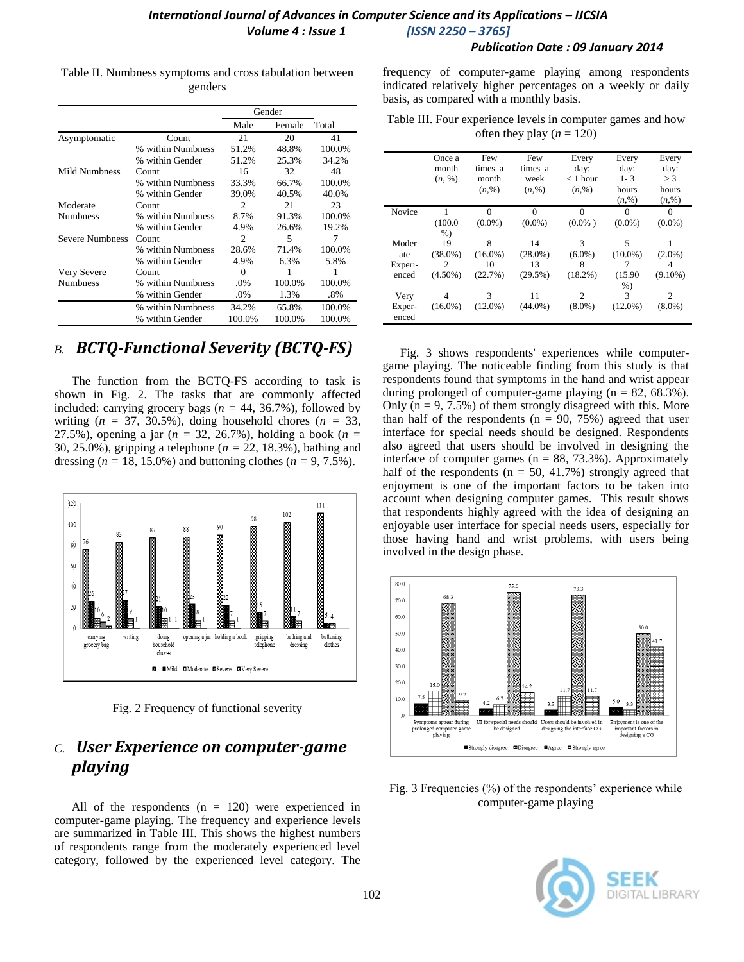#### *Publication Date : 09 January 2014*

|                 |                   | Gender         |        |        |
|-----------------|-------------------|----------------|--------|--------|
|                 |                   | Male           | Female | Total  |
| Asymptomatic    | Count             | 21             | 20     | 41     |
|                 | % within Numbness | 51.2%          | 48.8%  | 100.0% |
|                 | % within Gender   | 51.2%          | 25.3%  | 34.2%  |
| Mild Numbness   | Count             | 16             | 32     | 48     |
|                 | % within Numbness | 33.3%          | 66.7%  | 100.0% |
|                 | % within Gender   | 39.0%          | 40.5%  | 40.0%  |
| Moderate        | Count             | $\mathfrak{D}$ | 21     | 23     |
| <b>Numbness</b> | % within Numbness | 8.7%           | 91.3%  | 100.0% |
|                 | % within Gender   | 4.9%           | 26.6%  | 19.2%  |
| Severe Numbness | Count             | 2              | 5      | 7      |
|                 | % within Numbness | 28.6%          | 71.4%  | 100.0% |
|                 | % within Gender   | 4.9%           | 6.3%   | 5.8%   |
| Very Severe     | Count             | 0              |        | 1      |
| <b>Numbness</b> | % within Numbness | .0%            | 100.0% | 100.0% |
|                 | % within Gender   | .0%            | 1.3%   | .8%    |
|                 | % within Numbness | 34.2%          | 65.8%  | 100.0% |
|                 | % within Gender   | 100.0%         | 100.0% | 100.0% |

Table II. Numbness symptoms and cross tabulation between genders

# *B. BCTQ-Functional Severity (BCTQ-FS)*

The function from the BCTQ-FS according to task is shown in Fig. 2. The tasks that are commonly affected included: carrying grocery bags ( $n = 44, 36.7\%$ ), followed by writing  $(n = 37, 30.5\%)$ , doing household chores  $(n = 33, ...)$ 27.5%), opening a jar (*n =* 32, 26.7%), holding a book (*n =* 30, 25.0%), gripping a telephone (*n =* 22, 18.3%), bathing and dressing ( $n = 18, 15.0\%$ ) and buttoning clothes ( $n = 9, 7.5\%$ ).



Fig. 2 Frequency of functional severity

# *C. User Experience on computer-game playing*

All of the respondents  $(n = 120)$  were experienced in computer-game playing. The frequency and experience levels are summarized in Table III. This shows the highest numbers of respondents range from the moderately experienced level category, followed by the experienced level category. The frequency of computer-game playing among respondents indicated relatively higher percentages on a weekly or daily basis, as compared with a monthly basis.

Table III. Four experience levels in computer games and how often they play  $(n = 120)$ 

|                 | Once a<br>month             | Few<br>times a | Few<br>times a | Every<br>day: | Every<br>day: | Every<br>day: |
|-----------------|-----------------------------|----------------|----------------|---------------|---------------|---------------|
|                 | (n, %)                      | month          | week           | $<$ 1 hour    | $1 - 3$       | >3            |
|                 |                             | (n, %)         | (n, %)         | (n, %)        | hours         | hours         |
|                 |                             |                |                |               | (n, %)        | (n, %)        |
| Novice          |                             | 0              | $\Omega$       | $\Omega$      | $\Omega$      | $\Omega$      |
|                 | (100.0)                     | $(0.0\%)$      | $(0.0\%)$      | $(0.0\%$ )    | $(0.0\%)$     | $(0.0\%)$     |
|                 | $%$ )                       |                |                |               |               |               |
| Moder           | 19                          | 8              | 14             | 3             | 5             |               |
| ate             | $(38.0\%)$                  | $(16.0\%)$     | $(28.0\%)$     | $(6.0\%)$     | $(10.0\%)$    | $(2.0\%)$     |
| Experi-         | $\mathcal{D}_{\mathcal{L}}$ | 10             | 13             | 8             |               | 4             |
| enced           | $(4.50\%)$                  | (22.7%)        | $(29.5\%)$     | $(18.2\%)$    | (15.90)       | $(9.10\%)$    |
|                 |                             |                |                |               | $%$ )         |               |
| Very            | 4                           | 3              | 11             | 2             | 3             | 2             |
| Exper-<br>enced | $(16.0\%)$                  | $(12.0\%)$     | $(44.0\%)$     | $(8.0\%)$     | $(12.0\%)$    | $(8.0\%)$     |

Fig. 3 shows respondents' experiences while computergame playing. The noticeable finding from this study is that respondents found that symptoms in the hand and wrist appear during prolonged of computer-game playing  $(n = 82, 68.3\%)$ . Only  $(n = 9, 7.5\%)$  of them strongly disagreed with this. More than half of the respondents ( $n = 90, 75\%$ ) agreed that user interface for special needs should be designed. Respondents also agreed that users should be involved in designing the interface of computer games ( $n = 88, 73.3\%$ ). Approximately half of the respondents ( $n = 50, 41.7\%$ ) strongly agreed that enjoyment is one of the important factors to be taken into account when designing computer games. This result shows that respondents highly agreed with the idea of designing an enjoyable user interface for special needs users, especially for those having hand and wrist problems, with users being involved in the design phase.



Fig. 3 Frequencies (%) of the respondents' experience while computer-game playing

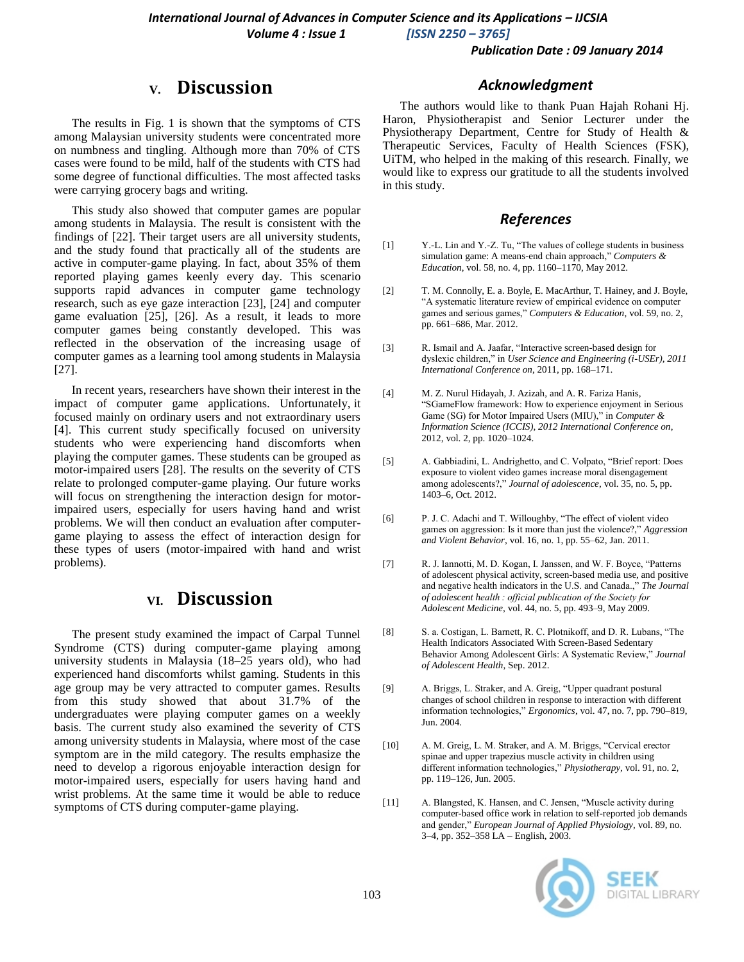#### *Publication Date : 09 January 2014*

# **V. Discussion**

The results in Fig. 1 is shown that the symptoms of CTS among Malaysian university students were concentrated more on numbness and tingling. Although more than 70% of CTS cases were found to be mild, half of the students with CTS had some degree of functional difficulties. The most affected tasks were carrying grocery bags and writing.

This study also showed that computer games are popular among students in Malaysia. The result is consistent with the findings of [22]. Their target users are all university students, and the study found that practically all of the students are active in computer-game playing. In fact, about 35% of them reported playing games keenly every day. This scenario supports rapid advances in computer game technology research, such as eye gaze interaction [23], [24] and computer game evaluation [25], [26]. As a result, it leads to more computer games being constantly developed. This was reflected in the observation of the increasing usage of computer games as a learning tool among students in Malaysia [27].

In recent years, researchers have shown their interest in the impact of computer game applications. Unfortunately, it focused mainly on ordinary users and not extraordinary users [4]. This current study specifically focused on university students who were experiencing hand discomforts when playing the computer games. These students can be grouped as motor-impaired users [28]. The results on the severity of CTS relate to prolonged computer-game playing. Our future works will focus on strengthening the interaction design for motorimpaired users, especially for users having hand and wrist problems. We will then conduct an evaluation after computergame playing to assess the effect of interaction design for these types of users (motor-impaired with hand and wrist problems).

# **VI. Discussion**

The present study examined the impact of Carpal Tunnel Syndrome (CTS) during computer-game playing among university students in Malaysia (18–25 years old), who had experienced hand discomforts whilst gaming. Students in this age group may be very attracted to computer games. Results from this study showed that about 31.7% of the undergraduates were playing computer games on a weekly basis. The current study also examined the severity of CTS among university students in Malaysia, where most of the case symptom are in the mild category. The results emphasize the need to develop a rigorous enjoyable interaction design for motor-impaired users, especially for users having hand and wrist problems. At the same time it would be able to reduce symptoms of CTS during computer-game playing.

#### *Acknowledgment*

The authors would like to thank Puan Hajah Rohani Hj. Haron, Physiotherapist and Senior Lecturer under the Physiotherapy Department, Centre for Study of Health & Therapeutic Services, Faculty of Health Sciences (FSK), UiTM, who helped in the making of this research. Finally, we would like to express our gratitude to all the students involved in this study.

#### *References*

- [1] Y.-L. Lin and Y.-Z. Tu, "The values of college students in business simulation game: A means-end chain approach," *Computers & Education*, vol. 58, no. 4, pp. 1160–1170, May 2012.
- [2] T. M. Connolly, E. a. Boyle, E. MacArthur, T. Hainey, and J. Boyle, "A systematic literature review of empirical evidence on computer games and serious games," *Computers & Education*, vol. 59, no. 2, pp. 661–686, Mar. 2012.
- [3] R. Ismail and A. Jaafar, "Interactive screen-based design for dyslexic children," in *User Science and Engineering (i-USEr), 2011 International Conference on*, 2011, pp. 168–171.
- [4] M. Z. Nurul Hidayah, J. Azizah, and A. R. Fariza Hanis, "SGameFlow framework: How to experience enjoyment in Serious Game (SG) for Motor Impaired Users (MIU)," in *Computer & Information Science (ICCIS), 2012 International Conference on*, 2012, vol. 2, pp. 1020–1024.
- [5] A. Gabbiadini, L. Andrighetto, and C. Volpato, "Brief report: Does exposure to violent video games increase moral disengagement among adolescents?," *Journal of adolescence*, vol. 35, no. 5, pp. 1403–6, Oct. 2012.
- [6] P. J. C. Adachi and T. Willoughby, "The effect of violent video games on aggression: Is it more than just the violence?," *Aggression and Violent Behavior*, vol. 16, no. 1, pp. 55–62, Jan. 2011.
- [7] R. J. Iannotti, M. D. Kogan, I. Janssen, and W. F. Boyce, "Patterns of adolescent physical activity, screen-based media use, and positive and negative health indicators in the U.S. and Canada.," *The Journal of adolescent health : official publication of the Society for Adolescent Medicine*, vol. 44, no. 5, pp. 493–9, May 2009.
- [8] S. a. Costigan, L. Barnett, R. C. Plotnikoff, and D. R. Lubans, "The Health Indicators Associated With Screen-Based Sedentary Behavior Among Adolescent Girls: A Systematic Review," *Journal of Adolescent Health*, Sep. 2012.
- [9] A. Briggs, L. Straker, and A. Greig, "Upper quadrant postural changes of school children in response to interaction with different information technologies," *Ergonomics*, vol. 47, no. 7, pp. 790–819, Jun. 2004.
- [10] A. M. Greig, L. M. Straker, and A. M. Briggs, "Cervical erector spinae and upper trapezius muscle activity in children using different information technologies," *Physiotherapy*, vol. 91, no. 2, pp. 119–126, Jun. 2005.
- [11] A. Blangsted, K. Hansen, and C. Jensen, "Muscle activity during computer-based office work in relation to self-reported job demands and gender," *European Journal of Applied Physiology*, vol. 89, no. 3–4, pp. 352–358 LA – English, 2003.